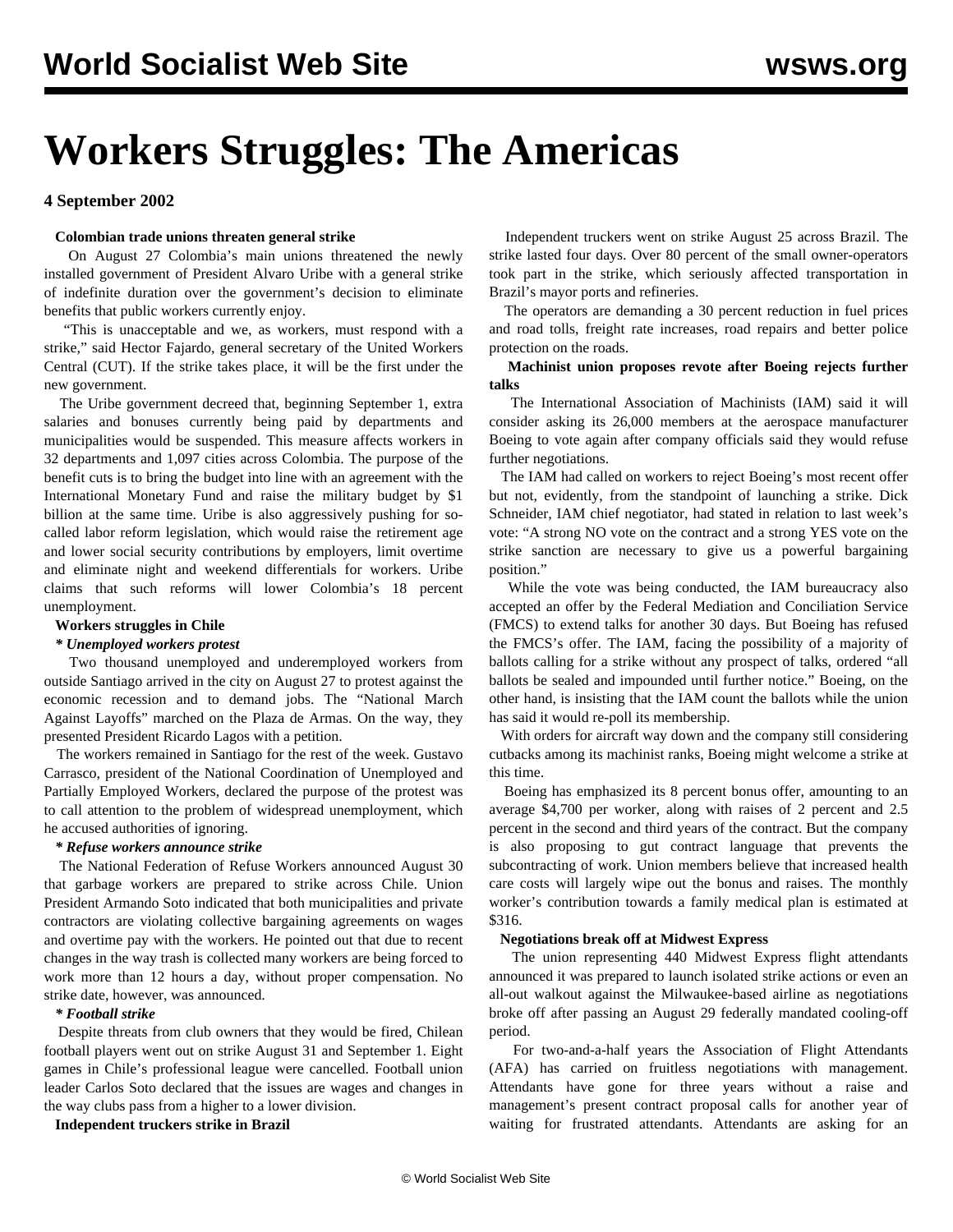# **Workers Struggles: The Americas**

# **4 September 2002**

#### **Colombian trade unions threaten general strike**

 On August 27 Colombia's main unions threatened the newly installed government of President Alvaro Uribe with a general strike of indefinite duration over the government's decision to eliminate benefits that public workers currently enjoy.

 "This is unacceptable and we, as workers, must respond with a strike," said Hector Fajardo, general secretary of the United Workers Central (CUT). If the strike takes place, it will be the first under the new government.

 The Uribe government decreed that, beginning September 1, extra salaries and bonuses currently being paid by departments and municipalities would be suspended. This measure affects workers in 32 departments and 1,097 cities across Colombia. The purpose of the benefit cuts is to bring the budget into line with an agreement with the International Monetary Fund and raise the military budget by \$1 billion at the same time. Uribe is also aggressively pushing for socalled labor reform legislation, which would raise the retirement age and lower social security contributions by employers, limit overtime and eliminate night and weekend differentials for workers. Uribe claims that such reforms will lower Colombia's 18 percent unemployment.

# **Workers struggles in Chile**

#### *\* Unemployed workers protest*

 Two thousand unemployed and underemployed workers from outside Santiago arrived in the city on August 27 to protest against the economic recession and to demand jobs. The "National March Against Layoffs" marched on the Plaza de Armas. On the way, they presented President Ricardo Lagos with a petition.

 The workers remained in Santiago for the rest of the week. Gustavo Carrasco, president of the National Coordination of Unemployed and Partially Employed Workers, declared the purpose of the protest was to call attention to the problem of widespread unemployment, which he accused authorities of ignoring.

### *\* Refuse workers announce strike*

 The National Federation of Refuse Workers announced August 30 that garbage workers are prepared to strike across Chile. Union President Armando Soto indicated that both municipalities and private contractors are violating collective bargaining agreements on wages and overtime pay with the workers. He pointed out that due to recent changes in the way trash is collected many workers are being forced to work more than 12 hours a day, without proper compensation. No strike date, however, was announced.

#### *\* Football strike*

 Despite threats from club owners that they would be fired, Chilean football players went out on strike August 31 and September 1. Eight games in Chile's professional league were cancelled. Football union leader Carlos Soto declared that the issues are wages and changes in the way clubs pass from a higher to a lower division.

**Independent truckers strike in Brazil**

 Independent truckers went on strike August 25 across Brazil. The strike lasted four days. Over 80 percent of the small owner-operators took part in the strike, which seriously affected transportation in Brazil's mayor ports and refineries.

 The operators are demanding a 30 percent reduction in fuel prices and road tolls, freight rate increases, road repairs and better police protection on the roads.

# **Machinist union proposes revote after Boeing rejects further talks**

 The International Association of Machinists (IAM) said it will consider asking its 26,000 members at the aerospace manufacturer Boeing to vote again after company officials said they would refuse further negotiations.

 The IAM had called on workers to reject Boeing's most recent offer but not, evidently, from the standpoint of launching a strike. Dick Schneider, IAM chief negotiator, had stated in relation to last week's vote: "A strong NO vote on the contract and a strong YES vote on the strike sanction are necessary to give us a powerful bargaining position."

 While the vote was being conducted, the IAM bureaucracy also accepted an offer by the Federal Mediation and Conciliation Service (FMCS) to extend talks for another 30 days. But Boeing has refused the FMCS's offer. The IAM, facing the possibility of a majority of ballots calling for a strike without any prospect of talks, ordered "all ballots be sealed and impounded until further notice." Boeing, on the other hand, is insisting that the IAM count the ballots while the union has said it would re-poll its membership.

 With orders for aircraft way down and the company still considering cutbacks among its machinist ranks, Boeing might welcome a strike at this time.

 Boeing has emphasized its 8 percent bonus offer, amounting to an average \$4,700 per worker, along with raises of 2 percent and 2.5 percent in the second and third years of the contract. But the company is also proposing to gut contract language that prevents the subcontracting of work. Union members believe that increased health care costs will largely wipe out the bonus and raises. The monthly worker's contribution towards a family medical plan is estimated at \$316.

#### **Negotiations break off at Midwest Express**

 The union representing 440 Midwest Express flight attendants announced it was prepared to launch isolated strike actions or even an all-out walkout against the Milwaukee-based airline as negotiations broke off after passing an August 29 federally mandated cooling-off period.

 For two-and-a-half years the Association of Flight Attendants (AFA) has carried on fruitless negotiations with management. Attendants have gone for three years without a raise and management's present contract proposal calls for another year of waiting for frustrated attendants. Attendants are asking for an